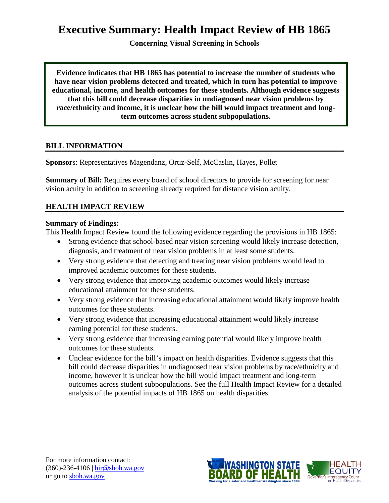# **Executive Summary: Health Impact Review of HB 1865**

**Concerning Visual Screening in Schools**

**Evidence indicates that HB 1865 has potential to increase the number of students who have near vision problems detected and treated, which in turn has potential to improve educational, income, and health outcomes for these students. Although evidence suggests that this bill could decrease disparities in undiagnosed near vision problems by race/ethnicity and income, it is unclear how the bill would impact treatment and longterm outcomes across student subpopulations.**

#### **BILL INFORMATION**

**Sponsor**s: Representatives [Magendanz,](http://www.leg.wa.gov/house/representatives/pages/default.aspx%23magendanz) [Ortiz-Self,](http://www.leg.wa.gov/house/representatives/pages/default.aspx%23ortiz-self) [McCaslin,](http://www.leg.wa.gov/house/representatives/pages/default.aspx%23mccaslin) [Hayes,](http://www.leg.wa.gov/house/representatives/pages/default.aspx%23hayes) [Pollet](http://www.leg.wa.gov/house/representatives/pages/default.aspx%23pollet)

**Summary of Bill:** Requires every board of school directors to provide for screening for near vision acuity in addition to screening already required for distance vision acuity.

## **HEALTH IMPACT REVIEW**

#### **Summary of Findings:**

This Health Impact Review found the following evidence regarding the provisions in HB 1865:

- Strong evidence that school-based near vision screening would likely increase detection, diagnosis, and treatment of near vision problems in at least some students.
- Very strong evidence that detecting and treating near vision problems would lead to improved academic outcomes for these students.
- Very strong evidence that improving academic outcomes would likely increase educational attainment for these students.
- Very strong evidence that increasing educational attainment would likely improve health outcomes for these students.
- Very strong evidence that increasing educational attainment would likely increase earning potential for these students.
- Very strong evidence that increasing earning potential would likely improve health outcomes for these students.
- Unclear evidence for the bill's impact on health disparities. Evidence suggests that this bill could decrease disparities in undiagnosed near vision problems by race/ethnicity and income, however it is unclear how the bill would impact treatment and long-term outcomes across student subpopulations. See the full Health Impact Review for a detailed analysis of the potential impacts of HB 1865 on health disparities.

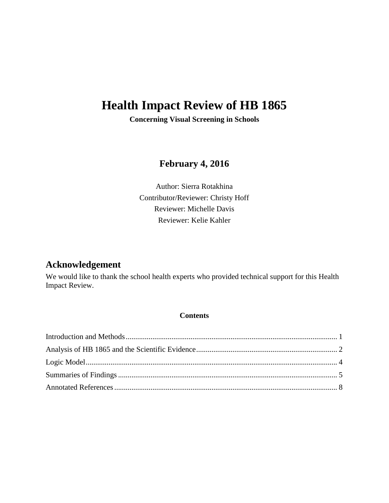# **Health Impact Review of HB 1865**

**Concerning Visual Screening in Schools**

## **February 4, 2016**

Author: Sierra Rotakhina Contributor/Reviewer: Christy Hoff Reviewer: Michelle Davis Reviewer: Kelie Kahler

## **Acknowledgement**

We would like to thank the school health experts who provided technical support for this Health Impact Review.

#### **Contents**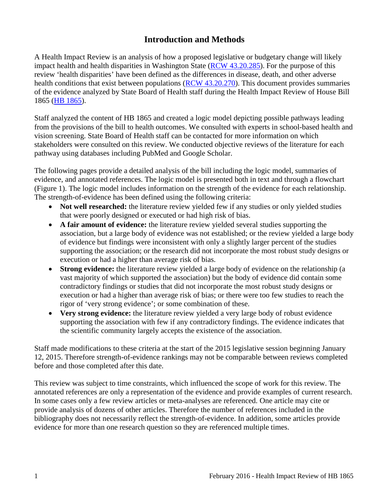## **Introduction and Methods**

<span id="page-2-0"></span>A Health Impact Review is an analysis of how a proposed legislative or budgetary change will likely impact health and health disparities in Washington State [\(RCW 43.20.285\)](http://apps.leg.wa.gov/rcw/default.aspx?cite=43.20.285). For the purpose of this review 'health disparities' have been defined as the differences in disease, death, and other adverse health conditions that exist between populations [\(RCW 43.20.270\)](http://apps.leg.wa.gov/rcw/default.aspx?cite=43.20.270). This document provides summaries of the evidence analyzed by State Board of Health staff during the Health Impact Review of House Bill 1865 [\(HB 1865\)](http://app.leg.wa.gov/billinfo/summary.aspx?bill=1865&year=2015).

Staff analyzed the content of HB 1865 and created a logic model depicting possible pathways leading from the provisions of the bill to health outcomes. We consulted with experts in school-based health and vision screening. State Board of Health staff can be contacted for more information on which stakeholders were consulted on this review. We conducted objective reviews of the literature for each pathway using databases including PubMed and Google Scholar.

The following pages provide a detailed analysis of the bill including the logic model, summaries of evidence, and annotated references. The logic model is presented both in text and through a flowchart (Figure 1). The logic model includes information on the strength of the evidence for each relationship. The strength-of-evidence has been defined using the following criteria:

- Not well researched: the literature review yielded few if any studies or only yielded studies that were poorly designed or executed or had high risk of bias.
- **A fair amount of evidence:** the literature review yielded several studies supporting the association, but a large body of evidence was not established; or the review yielded a large body of evidence but findings were inconsistent with only a slightly larger percent of the studies supporting the association; or the research did not incorporate the most robust study designs or execution or had a higher than average risk of bias.
- **Strong evidence:** the literature review yielded a large body of evidence on the relationship (a vast majority of which supported the association) but the body of evidence did contain some contradictory findings or studies that did not incorporate the most robust study designs or execution or had a higher than average risk of bias; or there were too few studies to reach the rigor of 'very strong evidence'; or some combination of these.
- **Very strong evidence:** the literature review yielded a very large body of robust evidence supporting the association with few if any contradictory findings. The evidence indicates that the scientific community largely accepts the existence of the association.

Staff made modifications to these criteria at the start of the 2015 legislative session beginning January 12, 2015. Therefore strength-of-evidence rankings may not be comparable between reviews completed before and those completed after this date.

This review was subject to time constraints, which influenced the scope of work for this review. The annotated references are only a representation of the evidence and provide examples of current research. In some cases only a few review articles or meta-analyses are referenced. One article may cite or provide analysis of dozens of other articles. Therefore the number of references included in the bibliography does not necessarily reflect the strength-of-evidence. In addition, some articles provide evidence for more than one research question so they are referenced multiple times.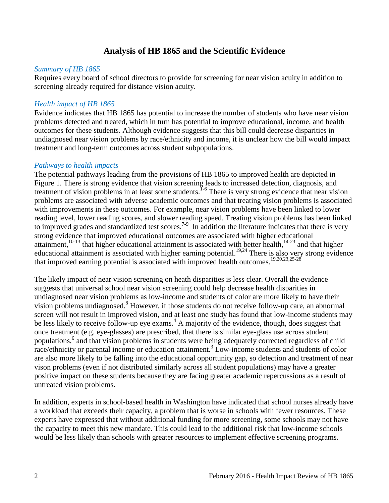## **Analysis of HB 1865 and the Scientific Evidence**

#### <span id="page-3-0"></span>*Summary of HB 1865*

Requires every board of school directors to provide for screening for near vision acuity in addition to screening already required for distance vision acuity.

#### *Health impact of HB 1865*

Evidence indicates that HB 1865 has potential to increase the number of students who have near vision problems detected and treated, which in turn has potential to improve educational, income, and health outcomes for these students. Although evidence suggests that this bill could decrease disparities in undiagnosed near vision problems by race/ethnicity and income, it is unclear how the bill would impact treatment and long-term outcomes across student subpopulations.

#### *Pathways to health impacts*

The potential pathways leading from the provisions of HB 1865 to improved health are depicted in Figure 1. There is strong evidence that vision screening leads to increased detection, diagnosis, and treatment of vision problems in at least some students.<sup>[1-6](#page-9-1)</sup> There is very strong evidence that near vision problems are associated with adverse academic outcomes and that treating vision problems is associated with improvements in these outcomes. For example, near vision problems have been linked to lower reading level, lower reading scores, and slower reading speed. Treating vision problems has been linked to improved grades and standardized test scores.<sup>7-9</sup> In addition the literature indicates that there is very strong evidence that improved educational outcomes are associated with higher educational attainment,<sup>[10-13](#page-12-0)</sup> that higher educational attainment is associated with better health,<sup>14-23</sup> and that higher educational attainment is associated with higher earning potential.<sup>[19](#page-14-0)[,24](#page-15-0)</sup> There is also very strong evidence that improved earning potential is associated with improved health outcomes.<sup>[19,](#page-14-0)[20](#page-14-1)[,23,](#page-15-1)[25-28](#page-15-2)</sup>

The likely impact of near vision screening on heath disparities is less clear. Overall the evidence suggests that universal school near vision screening could help decrease health disparities in undiagnosed near vision problems as low-income and students of color are more likely to have their vision problems undiagnosed[.8](#page-12-1) However, if those students do not receive follow-up care, an abnormal screen will not result in improved vision, and at least one study has found that low-income students may be less likely to receive follow-up eye exams.<sup>[4](#page-10-0)</sup> A majority of the evidence, though, does suggest that once treatment (e.g. eye-glasses) are prescribed, that there is similar eye-glass use across student populations,[6](#page-11-1) and that vision problems in students were being adequately corrected regardless of child race/ethnicity or parental income or education attainment[.](#page-10-1)<sup>3</sup> Low-income students and students of color are also more likely to be falling into the educational opportunity gap, so detection and treatment of near vison problems (even if not distributed similarly across all student populations) may have a greater positive impact on these students because they are facing greater academic repercussions as a result of untreated vision problems.

In addition, experts in school-based health in Washington have indicated that school nurses already have a workload that exceeds their capacity, a problem that is worse in schools with fewer resources. These experts have expressed that without additional funding for more screening, some schools may not have the capacity to meet this new mandate. This could lead to the additional risk that low-income schools would be less likely than schools with greater resources to implement effective screening programs.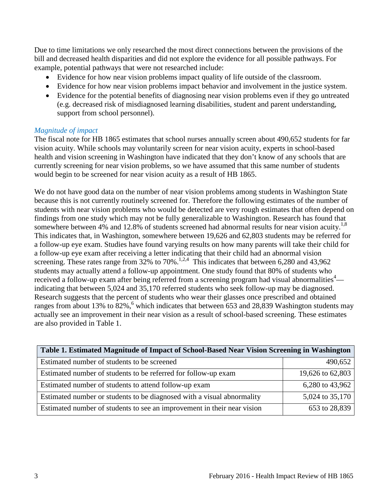Due to time limitations we only researched the most direct connections between the provisions of the bill and decreased health disparities and did not explore the evidence for all possible pathways. For example, potential pathways that were not researched include:

- Evidence for how near vision problems impact quality of life outside of the classroom.
- Evidence for how near vision problems impact behavior and involvement in the justice system.
- Evidence for the potential benefits of diagnosing near vision problems even if they go untreated (e.g. decreased risk of misdiagnosed learning disabilities, student and parent understanding, support from school personnel).

#### *Magnitude of impact*

The fiscal note for HB 1865 estimates that school nurses annually screen about 490,652 students for far vision acuity. While schools may voluntarily screen for near vision acuity, experts in school-based health and vision screening in Washington have indicated that they don't know of any schools that are currently screening for near vision problems, so we have assumed that this same number of students would begin to be screened for near vision acuity as a result of HB 1865.

We do not have good data on the number of near vision problems among students in Washington State because this is not currently routinely screened for. Therefore the following estimates of the number of students with near vision problems who would be detected are very rough estimates that often depend on findings from one study which may not be fully generalizable to Washington. Research has found that somewhere between 4% and 12.[8](#page-12-1)% of students screened had abnormal results for near vision acuity.<sup>1,8</sup> This indicates that, in Washington, somewhere between 19,626 and 62,803 students may be referred for a follow-up eye exam. Studies have found varying results on how many parents will take their child for a follow-up eye exam after receiving a letter indicating that their child had an abnormal vision screening. These rates range from  $32\%$  to  $70\%$ .<sup>1,[2,](#page-9-2)[4](#page-10-0)</sup> This indicates that between 6,280 and 43,962 students may actually attend a follow-up appointment. One study found that 80% of students who received a follow-up exam after being referred from a screening program had visual abnormalities $4$  indicating that between 5,024 and 35,170 referred students who seek follow-up may be diagnosed. Research suggests that the percent of students who wear their glasses once prescribed and obtained ranges from about 13% to  $82\%$ [,](#page-11-1) which indicates that between 653 and 28,839 Washington students may actually see an improvement in their near vision as a result of school-based screening. These estimates are also provided in Table 1.

| Table 1. Estimated Magnitude of Impact of School-Based Near Vision Screening in Washington |                  |  |
|--------------------------------------------------------------------------------------------|------------------|--|
| Estimated number of students to be screened                                                | 490,652          |  |
| Estimated number of students to be referred for follow-up exam                             | 19,626 to 62,803 |  |
| Estimated number of students to attend follow-up exam                                      | 6,280 to 43,962  |  |
| Estimated number or students to be diagnosed with a visual abnormality                     | 5,024 to 35,170  |  |
| Estimated number of students to see an improvement in their near vision                    | 653 to 28,839    |  |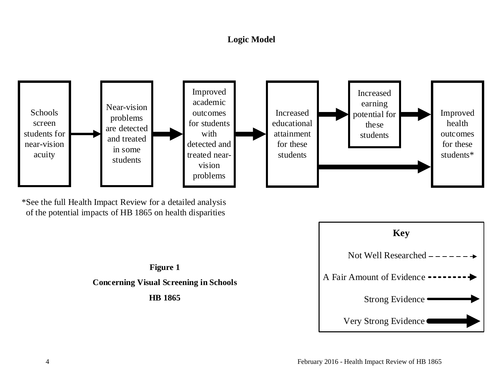# **Logic Model**



<span id="page-5-0"></span>\*See the full Health Impact Review for a detailed analysis of the potential impacts of HB 1865 on health disparities



# **Figure 1 Concerning Visual Screening in Schools HB 1865**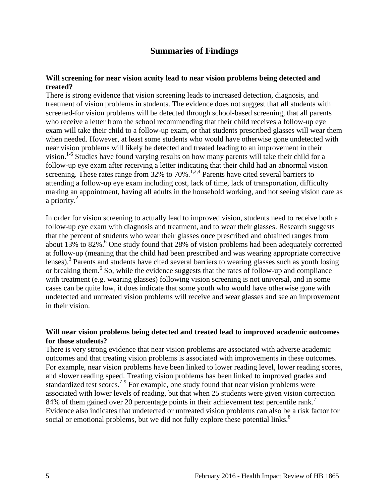### **Summaries of Findings**

#### <span id="page-6-0"></span>**Will screening for near vision acuity lead to near vision problems being detected and treated?**

There is strong evidence that vision screening leads to increased detection, diagnosis, and treatment of vision problems in students. The evidence does not suggest that **all** students with screened-for vision problems will be detected through school-based screening, that all parents who receive a letter from the school recommending that their child receives a follow-up eye exam will take their child to a follow-up exam, or that students prescribed glasses will wear them when needed. However, at least some students who would have otherwise gone undetected with near vision problems will likely be detected and treated leading to an improvement in their vision.<sup>1-6</sup> Studies have found varying results on how many parents will take their child for a follow-up eye exam after receiving a letter indicating that their child had an abnormal vision screening. These rates range from  $32\%$  to  $70\%$ .<sup>[1,](#page-9-1)[2,](#page-9-2)[4](#page-10-0)</sup> Parents have cited several barriers to attending a follow-up eye exam including cost, lack of time, lack of transportation, difficulty making an appointment, having all adults in the household working, and not seeing vision care as a priority. [2](#page-9-2)

In order for vision screening to actually lead to improved vision, students need to receive both a follow-up eye exam with diagnosis and treatment, and to wear their glasses. Research suggests that the percent of students who wear their glasses once prescribed and obtained ranges from about 13% to  $82\%$ .<sup>6</sup> One study found that 28% of vision problems had been adequately corrected at follow-up (meaning that the child had been prescribed and was wearing appropriate corrective lenses).<sup>3</sup> Parents and students have cited several barriers to wearing glasses such as youth losing or breaking them.<sup>6</sup> So, while the evidence suggests that the rates of follow-up and compliance with treatment (e.g. wearing glasses) following vision screening is not universal, and in some cases can be quite low, it does indicate that some youth who would have otherwise gone with undetected and untreated vision problems will receive and wear glasses and see an improvement in their vision.

#### **Will near vision problems being detected and treated lead to improved academic outcomes for those students?**

There is very strong evidence that near vision problems are associated with adverse academic outcomes and that treating vision problems is associated with improvements in these outcomes. For example, near vision problems have been linked to lower reading level, lower reading scores, and slower reading speed. Treating vision problems has been linked to improved grades and standardized test scores.<sup>7-9</sup> For example, one study found that near vision problems were associated with lower levels of reading, but that when 25 students were given vision correction 84% of them gained over 20 percentage points in their achievement test percentile rank.<sup>7</sup> Evidence also indicates that undetected or untreated vision problems can also be a risk factor for social or emotional problems, but we did not fully explore these potential links.<sup>8</sup>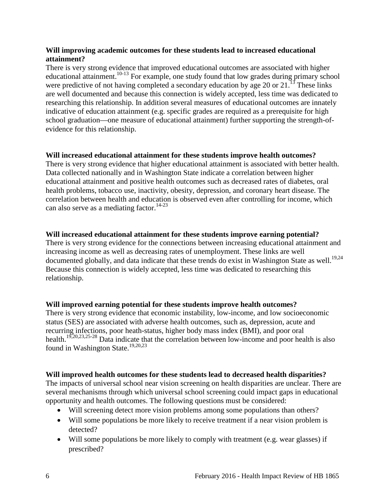#### **Will improving academic outcomes for these students lead to increased educational attainment?**

There is very strong evidence that improved educational outcomes are associated with higher educational attainment.<sup>[10-13](#page-12-0)</sup> For example, one study found that low grades during primary school were predictive of not having completed a secondary education by age 20 or  $21<sup>13</sup>$  These links are well documented and because this connection is widely accepted, less time was dedicated to researching this relationship. In addition several measures of educational outcomes are innately indicative of education attainment (e.g. specific grades are required as a prerequisite for high school graduation—one measure of educational attainment) further supporting the strength-ofevidence for this relationship.

#### **Will increased educational attainment for these students improve health outcomes?**

There is very strong evidence that higher educational attainment is associated with better health. Data collected nationally and in Washington State indicate a correlation between higher educational attainment and positive health outcomes such as decreased rates of diabetes, oral health problems, tobacco use, inactivity, obesity, depression, and coronary heart disease. The correlation between health and education is observed even after controlling for income, which can also serve as a mediating factor. [14-23](#page-13-0)

#### **Will increased educational attainment for these students improve earning potential?**

There is very strong evidence for the connections between increasing educational attainment and increasing income as well as decreasing rates of unemployment. These links are well documented globally, and data indicate that these trends do exist in Washington State as well.<sup>19[,24](#page-15-0)</sup> Because this connection is widely accepted, less time was dedicated to researching this relationship.

#### **Will improved earning potential for these students improve health outcomes?**

There is very strong evidence that economic instability, low-income, and low socioeconomic status (SES) are associated with adverse health outcomes, such as, depression, acute and recurring infections, poor heath-status, higher body mass index (BMI), and poor oral health.<sup>19,[20,](#page-14-1)[23,](#page-15-1)[25-28](#page-15-2)</sup> Data indicate that the correlation between low-income and poor health is also found in Washington State.<sup>19,[20,](#page-14-1)[23](#page-15-1)</sup>

#### **Will improved health outcomes for these students lead to decreased health disparities?**

The impacts of universal school near vision screening on health disparities are unclear. There are several mechanisms through which universal school screening could impact gaps in educational opportunity and health outcomes. The following questions must be considered:

- Will screening detect more vision problems among some populations than others?
- Will some populations be more likely to receive treatment if a near vision problem is detected?
- Will some populations be more likely to comply with treatment (e.g. wear glasses) if prescribed?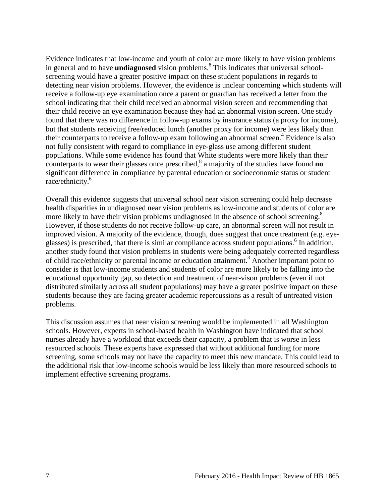Evidence indicates that low-income and youth of color are more likely to have vision problems in general and to have **undiagnosed** vision problems[.](#page-12-1) <sup>8</sup> This indicates that universal schoolscreening would have a greater positive impact on these student populations in regards to detecting near vision problems. However, the evidence is unclear concerning which students will receive a follow-up eye examination once a parent or guardian has received a letter from the school indicating that their child received an abnormal vision screen and recommending that their child receive an eye examination because they had an abnormal vision screen. One study found that there was no difference in follow-up exams by insurance status (a proxy for income), but that students receiving free/reduced lunch (another proxy for income) were less likely than their counterparts to receive a follow-up exam following an abnormal screen.<sup>4</sup> Evidence is also not fully consistent with regard to compliance in eye-glass use among different student populations. While some evidence has found that White students were more likely than their counterparts to wear their glasses once prescribed, [8](#page-12-1) a majority of the studies have found **no** significant difference in compliance by parental education or socioeconomic status or student race/ethnicity[.6](#page-11-1)

Overall this evidence suggests that universal school near vision screening could help decrease health disparities in undiagnosed near vision problems as low-income and students of color are more likely to have their vision problems undiagnosed in the absence of school screening.<sup>8</sup> However, if those students do not receive follow-up care, an abnormal screen will not result in improved vision. A majority of the evidence, though, does suggest that once treatment (e.g. eyeglasses) is prescribed, that there is similar compliance across student populations.<sup>6</sup> In addition, another study found that vision problems in students were being adequately corrected regardless of child race/ethnicity or parental income or education attainment[.](#page-10-1) <sup>3</sup> Another important point to consider is that low-income students and students of color are more likely to be falling into the educational opportunity gap, so detection and treatment of near-vison problems (even if not distributed similarly across all student populations) may have a greater positive impact on these students because they are facing greater academic repercussions as a result of untreated vision problems.

This discussion assumes that near vision screening would be implemented in all Washington schools. However, experts in school-based health in Washington have indicated that school nurses already have a workload that exceeds their capacity, a problem that is worse in less resourced schools. These experts have expressed that without additional funding for more screening, some schools may not have the capacity to meet this new mandate. This could lead to the additional risk that low-income schools would be less likely than more resourced schools to implement effective screening programs.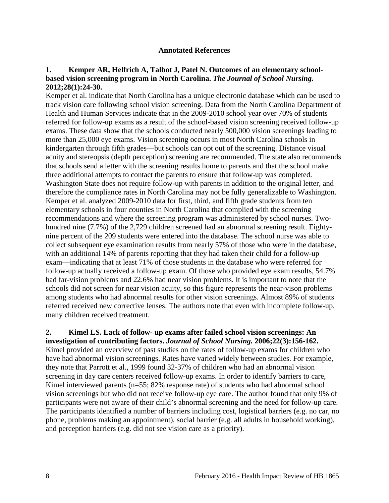#### **Annotated References**

#### <span id="page-9-1"></span><span id="page-9-0"></span>**1. Kemper AR, Helfrich A, Talbot J, Patel N. Outcomes of an elementary schoolbased vision screening program in North Carolina.** *The Journal of School Nursing.*  **2012;28(1):24-30.**

Kemper et al. indicate that North Carolina has a unique electronic database which can be used to track vision care following school vision screening. Data from the North Carolina Department of Health and Human Services indicate that in the 2009-2010 school year over 70% of students referred for follow-up exams as a result of the school-based vision screening received follow-up exams. These data show that the schools conducted nearly 500,000 vision screenings leading to more than 25,000 eye exams. Vision screening occurs in most North Carolina schools in kindergarten through fifth grades—but schools can opt out of the screening. Distance visual acuity and stereopsis (depth perception) screening are recommended. The state also recommends that schools send a letter with the screening results home to parents and that the school make three additional attempts to contact the parents to ensure that follow-up was completed. Washington State does not require follow-up with parents in addition to the original letter, and therefore the compliance rates in North Carolina may not be fully generalizable to Washington. Kemper et al. analyzed 2009-2010 data for first, third, and fifth grade students from ten elementary schools in four counties in North Carolina that complied with the screening recommendations and where the screening program was administered by school nurses. Twohundred nine (7.7%) of the 2,729 children screened had an abnormal screening result. Eightynine percent of the 209 students were entered into the database. The school nurse was able to collect subsequent eye examination results from nearly 57% of those who were in the database, with an additional 14% of parents reporting that they had taken their child for a follow-up exam—indicating that at least 71% of those students in the database who were referred for follow-up actually received a follow-up exam. Of those who provided eye exam results, 54.7% had far-vision problems and 22.6% had near vision problems. It is important to note that the schools did not screen for near vision acuity, so this figure represents the near-vison problems among students who had abnormal results for other vision screenings. Almost 89% of students referred received new corrective lenses. The authors note that even with incomplete follow-up, many children received treatment.

# <span id="page-9-2"></span>**2. Kimel LS. Lack of follow- up exams after failed school vision screenings: An**

**investigation of contributing factors.** *Journal of School Nursing.* **2006;22(3):156-162.** Kimel provided an overview of past studies on the rates of follow-up exams for children who have had abnormal vision screenings. Rates have varied widely between studies. For example, they note that Parrott et al., 1999 found 32-37% of children who had an abnormal vision screening in day care centers received follow-up exams. In order to identify barriers to care, Kimel interviewed parents (n=55; 82% response rate) of students who had abnormal school vision screenings but who did not receive follow-up eye care. The author found that only 9% of participants were not aware of their child's abnormal screening and the need for follow-up care. The participants identified a number of barriers including cost, logistical barriers (e.g. no car, no phone, problems making an appointment), social barrier (e.g. all adults in household working), and perception barriers (e.g. did not see vision care as a priority).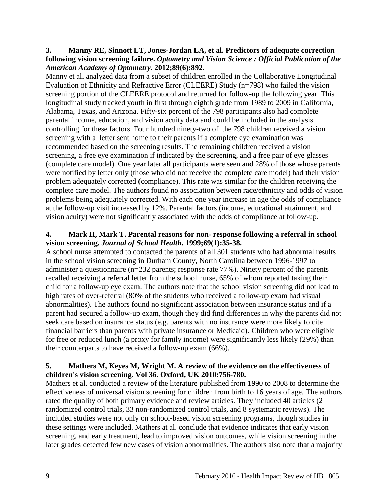#### <span id="page-10-1"></span>**3. Manny RE, Sinnott LT, Jones-Jordan LA, et al. Predictors of adequate correction following vision screening failure.** *Optometry and Vision Science : Official Publication of the American Academy of Optometry.* **2012;89(6):892.**

Manny et al. analyzed data from a subset of children enrolled in the Collaborative Longitudinal Evaluation of Ethnicity and Refractive Error (CLEERE) Study (n=798) who failed the vision screening portion of the CLEERE protocol and returned for follow-up the following year. This longitudinal study tracked youth in first through eighth grade from 1989 to 2009 in California, Alabama, Texas, and Arizona. Fifty-six percent of the 798 participants also had complete parental income, education, and vision acuity data and could be included in the analysis controlling for these factors. Four hundred ninety-two of the 798 children received a vision screening with a letter sent home to their parents if a complete eye examination was recommended based on the screening results. The remaining children received a vision screening, a free eye examination if indicated by the screening, and a free pair of eye glasses (complete care model). One year later all participants were seen and 28% of those whose parents were notified by letter only (those who did not receive the complete care model) had their vision problem adequately corrected (compliance). This rate was similar for the children receiving the complete care model. The authors found no association between race/ethnicity and odds of vision problems being adequately corrected. With each one year increase in age the odds of compliance at the follow-up visit increased by 12%. Parental factors (income, educational attainment, and vision acuity) were not significantly associated with the odds of compliance at follow-up.

#### <span id="page-10-0"></span>**4. Mark H, Mark T. Parental reasons for non**‐ **response following a referral in school vision screening.** *Journal of School Health.* **1999;69(1):35-38.**

A school nurse attempted to contacted the parents of all 301 students who had abnormal results in the school vision screening in Durham County, North Carolina between 1996-1997 to administer a questionnaire (n=232 parents; response rate 77%). Ninety percent of the parents recalled receiving a referral letter from the school nurse, 65% of whom reported taking their child for a follow-up eye exam. The authors note that the school vision screening did not lead to high rates of over-referral (80% of the students who received a follow-up exam had visual abnormalities). The authors found no significant association between insurance status and if a parent had secured a follow-up exam, though they did find differences in why the parents did not seek care based on insurance status (e.g. parents with no insurance were more likely to cite financial barriers than parents with private insurance or Medicaid). Children who were eligible for free or reduced lunch (a proxy for family income) were significantly less likely (29%) than their counterparts to have received a follow-up exam (66%).

#### **5. Mathers M, Keyes M, Wright M. A review of the evidence on the effectiveness of children's vision screening. Vol 36. Oxford, UK 2010:756-780.**

Mathers et al. conducted a review of the literature published from 1990 to 2008 to determine the effectiveness of universal vision screening for children from birth to 16 years of age. The authors rated the quality of both primary evidence and review articles. They included 40 articles (2 randomized control trials, 33 non-randomized control trials, and 8 systematic reviews). The included studies were not only on school-based vision screening programs, though studies in these settings were included. Mathers at al. conclude that evidence indicates that early vision screening, and early treatment, lead to improved vision outcomes, while vision screening in the later grades detected few new cases of vision abnormalities. The authors also note that a majority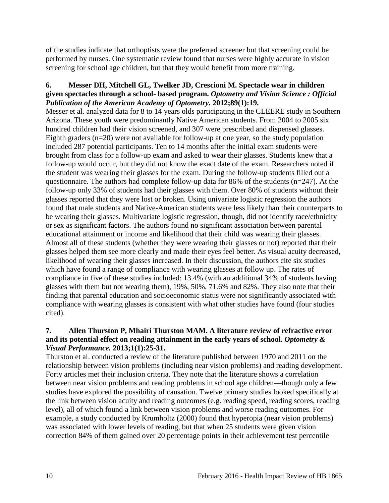of the studies indicate that orthoptists were the preferred screener but that screening could be performed by nurses. One systematic review found that nurses were highly accurate in vision screening for school age children, but that they would benefit from more training.

#### <span id="page-11-1"></span>**6. Messer DH, Mitchell GL, Twelker JD, Crescioni M. Spectacle wear in children given spectacles through a school- based program.** *Optometry and Vision Science : Official Publication of the American Academy of Optometry.* **2012;89(1):19.**

Messer et al. analyzed data for 8 to 14 years olds participating in the CLEERE study in Southern Arizona. These youth were predominantly Native American students. From 2004 to 2005 six hundred children had their vision screened, and 307 were prescribed and dispensed glasses. Eighth graders  $(n=20)$  were not available for follow-up at one year, so the study population included 287 potential participants. Ten to 14 months after the initial exam students were brought from class for a follow-up exam and asked to wear their glasses. Students knew that a follow-up would occur, but they did not know the exact date of the exam. Researchers noted if the student was wearing their glasses for the exam. During the follow-up students filled out a questionnaire. The authors had complete follow-up data for 86% of the students (n=247). At the follow-up only 33% of students had their glasses with them. Over 80% of students without their glasses reported that they were lost or broken. Using univariate logistic regression the authors found that male students and Native-American students were less likely than their counterparts to be wearing their glasses. Multivariate logistic regression, though, did not identify race/ethnicity or sex as significant factors. The authors found no significant association between parental educational attainment or income and likelihood that their child was wearing their glasses. Almost all of these students (whether they were wearing their glasses or not) reported that their glasses helped them see more clearly and made their eyes feel better. As visual acuity decreased, likelihood of wearing their glasses increased. In their discussion, the authors cite six studies which have found a range of compliance with wearing glasses at follow up. The rates of compliance in five of these studies included: 13.4% (with an additional 34% of students having glasses with them but not wearing them), 19%, 50%, 71.6% and 82%. They also note that their finding that parental education and socioeconomic status were not significantly associated with compliance with wearing glasses is consistent with what other studies have found (four studies cited).

#### <span id="page-11-0"></span>**7. Allen Thurston P, Mhairi Thurston MAM. A literature review of refractive error and its potential effect on reading attainment in the early years of school.** *Optometry & Visual Performance.* **2013;1(1):25-31.**

Thurston et al. conducted a review of the literature published between 1970 and 2011 on the relationship between vision problems (including near vision problems) and reading development. Forty articles met their inclusion criteria. They note that the literature shows a correlation between near vision problems and reading problems in school age children—though only a few studies have explored the possibility of causation. Twelve primary studies looked specifically at the link between vision acuity and reading outcomes (e.g. reading speed, reading scores, reading level), all of which found a link between vision problems and worse reading outcomes. For example, a study conducted by Krumholtz (2000) found that hyperopia (near vision problems) was associated with lower levels of reading, but that when 25 students were given vision correction 84% of them gained over 20 percentage points in their achievement test percentile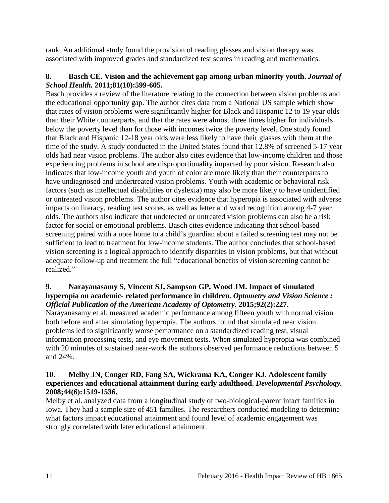rank. An additional study found the provision of reading glasses and vision therapy was associated with improved grades and standardized test scores in reading and mathematics.

#### <span id="page-12-1"></span>**8. Basch CE. Vision and the achievement gap among urban minority youth.** *Journal of School Health.* **2011;81(10):599-605.**

Basch provides a review of the literature relating to the connection between vision problems and the educational opportunity gap. The author cites data from a National US sample which show that rates of vision problems were significantly higher for Black and Hispanic 12 to 19 year olds than their White counterparts, and that the rates were almost three times higher for individuals below the poverty level than for those with incomes twice the poverty level. One study found that Black and Hispanic 12-18 year olds were less likely to have their glasses with them at the time of the study. A study conducted in the United States found that 12.8% of screened 5-17 year olds had near vision problems. The author also cites evidence that low-income children and those experiencing problems in school are disproportionality impacted by poor vision. Research also indicates that low-income youth and youth of color are more likely than their counterparts to have undiagnosed and undertreated vision problems. Youth with academic or behavioral risk factors (such as intellectual disabilities or dyslexia) may also be more likely to have unidentified or untreated vision problems. The author cites evidence that hyperopia is associated with adverse impacts on literacy, reading test scores, as well as letter and word recognition among 4-7 year olds. The authors also indicate that undetected or untreated vision problems can also be a risk factor for social or emotional problems. Basch cites evidence indicating that school-based screening paired with a note home to a child's guardian about a failed screening test may not be sufficient to lead to treatment for low-income students. The author concludes that school-based vision screening is a logical approach to identify disparities in vision problems, but that without adequate follow-up and treatment the full "educational benefits of vision screening cannot be realized."

#### **9. Narayanasamy S, Vincent SJ, Sampson GP, Wood JM. Impact of simulated hyperopia on academic- related performance in children.** *Optometry and Vision Science : Official Publication of the American Academy of Optometry.* **2015;92(2):227.**

Narayanasamy et al. measured academic performance among fifteen youth with normal vision both before and after simulating hyperopia. The authors found that simulated near vision problems led to significantly worse performance on a standardized reading test, visual information processing tests, and eye movement tests. When simulated hyperopia was combined with 20 minutes of sustained near-work the authors observed performance reductions between 5 and 24%.

#### <span id="page-12-0"></span>**10. Melby JN, Conger RD, Fang SA, Wickrama KA, Conger KJ. Adolescent family experiences and educational attainment during early adulthood.** *Developmental Psychology.*  **2008;44(6):1519-1536.**

Melby et al. analyzed data from a longitudinal study of two-biological-parent intact families in Iowa. They had a sample size of 451 families. The researchers conducted modeling to determine what factors impact educational attainment and found level of academic engagement was strongly correlated with later educational attainment.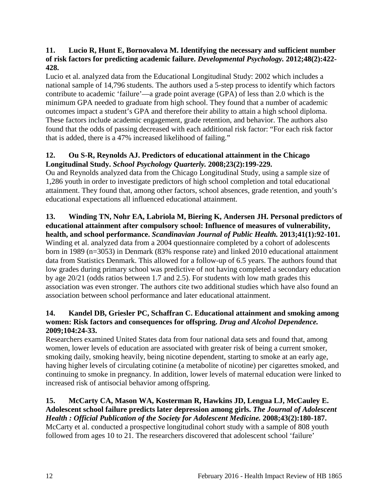#### **11. Lucio R, Hunt E, Bornovalova M. Identifying the necessary and sufficient number of risk factors for predicting academic failure.** *Developmental Psychology.* **2012;48(2):422- 428.**

Lucio et al. analyzed data from the Educational Longitudinal Study: 2002 which includes a national sample of 14,796 students. The authors used a 5-step process to identify which factors contribute to academic 'failure'—a grade point average (GPA) of less than 2.0 which is the minimum GPA needed to graduate from high school. They found that a number of academic outcomes impact a student's GPA and therefore their ability to attain a high school diploma. These factors include academic engagement, grade retention, and behavior. The authors also found that the odds of passing decreased with each additional risk factor: "For each risk factor that is added, there is a 47% increased likelihood of failing."

## **12. Ou S-R, Reynolds AJ. Predictors of educational attainment in the Chicago Longitudinal Study.** *School Psychology Quarterly.* **2008;23(2):199-229.**

Ou and Reynolds analyzed data from the Chicago Longitudinal Study, using a sample size of 1,286 youth in order to investigate predictors of high school completion and total educational attainment. They found that, among other factors, school absences, grade retention, and youth's educational expectations all influenced educational attainment.

#### <span id="page-13-1"></span>**13. Winding TN, Nohr EA, Labriola M, Biering K, Andersen JH. Personal predictors of educational attainment after compulsory school: Influence of measures of vulnerability, health, and school performance.** *Scandinavian Journal of Public Health.* **2013;41(1):92-101.**

Winding et al. analyzed data from a 2004 questionnaire completed by a cohort of adolescents born in 1989 (n=3053) in Denmark (83% response rate) and linked 2010 educational attainment data from Statistics Denmark. This allowed for a follow-up of 6.5 years. The authors found that low grades during primary school was predictive of not having completed a secondary education by age 20/21 (odds ratios between 1.7 and 2.5). For students with low math grades this association was even stronger. The authors cite two additional studies which have also found an association between school performance and later educational attainment.

#### <span id="page-13-0"></span>**14. Kandel DB, Griesler PC, Schaffran C. Educational attainment and smoking among women: Risk factors and consequences for offspring.** *Drug and Alcohol Dependence.*  **2009;104:24-33.**

Researchers examined United States data from four national data sets and found that, among women, lower levels of education are associated with greater risk of being a current smoker, smoking daily, smoking heavily, being nicotine dependent, starting to smoke at an early age, having higher levels of circulating cotinine (a metabolite of nicotine) per cigarettes smoked, and continuing to smoke in pregnancy. In addition, lower levels of maternal education were linked to increased risk of antisocial behavior among offspring.

**15. McCarty CA, Mason WA, Kosterman R, Hawkins JD, Lengua LJ, McCauley E. Adolescent school failure predicts later depression among girls.** *The Journal of Adolescent Health : Official Publication of the Society for Adolescent Medicine.* **2008;43(2):180-187.** McCarty et al. conducted a prospective longitudinal cohort study with a sample of 808 youth followed from ages 10 to 21. The researchers discovered that adolescent school 'failure'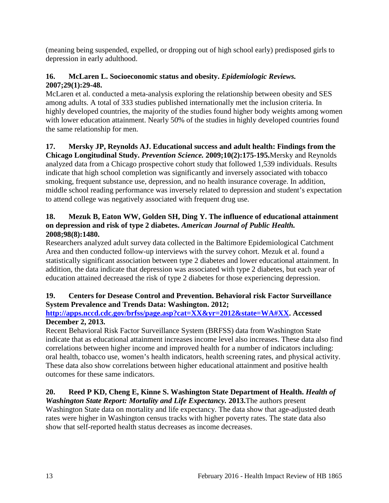(meaning being suspended, expelled, or dropping out of high school early) predisposed girls to depression in early adulthood.

## **16. McLaren L. Socioeconomic status and obesity.** *Epidemiologic Reviews.*  **2007;29(1):29-48.**

McLaren et al. conducted a meta-analysis exploring the relationship between obesity and SES among adults. A total of 333 studies published internationally met the inclusion criteria. In highly developed countries, the majority of the studies found higher body weights among women with lower education attainment. Nearly 50% of the studies in highly developed countries found the same relationship for men.

# **17. Mersky JP, Reynolds AJ. Educational success and adult health: Findings from the**

**Chicago Longitudinal Study.** *Prevention Science.* **2009;10(2):175-195.**Mersky and Reynolds analyzed data from a Chicago prospective cohort study that followed 1,539 individuals. Results indicate that high school completion was significantly and inversely associated with tobacco smoking, frequent substance use, depression, and no health insurance coverage. In addition, middle school reading performance was inversely related to depression and student's expectation to attend college was negatively associated with frequent drug use.

#### **18. Mezuk B, Eaton WW, Golden SH, Ding Y. The influence of educational attainment on depression and risk of type 2 diabetes.** *American Journal of Public Health.*  **2008;98(8):1480.**

Researchers analyzed adult survey data collected in the Baltimore Epidemiological Catchment Area and then conducted follow-up interviews with the survey cohort. Mezuk et al. found a statistically significant association between type 2 diabetes and lower educational attainment. In addition, the data indicate that depression was associated with type 2 diabetes, but each year of education attained decreased the risk of type 2 diabetes for those experiencing depression.

#### <span id="page-14-0"></span>**19. Centers for Desease Control and Prevention. Behavioral risk Factor Surveillance System Prevalence and Trends Data: Washington. 2012;**

#### **[http://apps.nccd.cdc.gov/brfss/page.asp?cat=XX&yr=2012&state=WA#XX.](http://apps.nccd.cdc.gov/brfss/page.asp?cat=XX&yr=2012&state=WA%23XX) Accessed December 2, 2013.**

Recent Behavioral Risk Factor Surveillance System (BRFSS) data from Washington State indicate that as educational attainment increases income level also increases. These data also find correlations between higher income and improved health for a number of indicators including: oral health, tobacco use, women's health indicators, health screening rates, and physical activity. These data also show correlations between higher educational attainment and positive health outcomes for these same indicators.

# <span id="page-14-1"></span>**20. Reed P KD, Cheng E, Kinne S. Washington State Department of Health.** *Health of*

*Washington State Report: Mortality and Life Expectancy.* **2013.**The authors present Washington State data on mortality and life expectancy. The data show that age-adjusted death rates were higher in Washington census tracks with higher poverty rates. The state data also show that self-reported health status decreases as income decreases.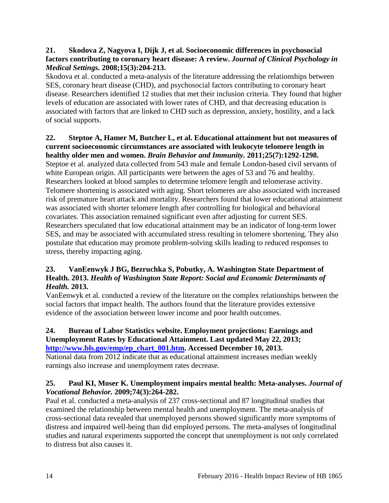#### **21. Skodova Z, Nagyova I, Dijk J, et al. Socioeconomic differences in psychosocial factors contributing to coronary heart disease: A review.** *Journal of Clinical Psychology in Medical Settings.* **2008;15(3):204-213.**

Skodova et al. conducted a meta-analysis of the literature addressing the relationships between SES, coronary heart disease (CHD), and psychosocial factors contributing to coronary heart disease. Researchers identified 12 studies that met their inclusion criteria. They found that higher levels of education are associated with lower rates of CHD, and that decreasing education is associated with factors that are linked to CHD such as depression, anxiety, hostility, and a lack of social supports.

# **22. Steptoe A, Hamer M, Butcher L, et al. Educational attainment but not measures of current socioeconomic circumstances are associated with leukocyte telomere length in**

**healthy older men and women.** *Brain Behavior and Immunity.* **2011;25(7):1292-1298.** Steptoe et al. analyzed data collected from 543 male and female London-based civil servants of white European origin. All participants were between the ages of 53 and 76 and healthy. Researchers looked at blood samples to determine telomere length and telomerase activity. Telomere shortening is associated with aging. Short telomeres are also associated with increased risk of premature heart attack and mortality. Researchers found that lower educational attainment was associated with shorter telomere length after controlling for biological and behavioral covariates. This association remained significant even after adjusting for current SES. Researchers speculated that low educational attainment may be an indicator of long-term lower SES, and may be associated with accumulated stress resulting in telomere shortening. They also postulate that education may promote problem-solving skills leading to reduced responses to stress, thereby impacting aging.

### <span id="page-15-1"></span>**23. VanEenwyk J BG, Bezruchka S, Pobutky, A. Washington State Department of Health. 2013.** *Health of Washington State Report: Social and Economic Determinants of Health.* **2013.**

VanEenwyk et al. conducted a review of the literature on the complex relationships between the social factors that impact health. The authors found that the literature provides extensive evidence of the association between lower income and poor health outcomes.

#### <span id="page-15-0"></span>**24. Bureau of Labor Statistics website. Employment projections: Earnings and Unemployment Rates by Educational Attainment. Last updated May 22, 2013; [http://www.bls.gov/emp/ep\\_chart\\_001.htm.](http://www.bls.gov/emp/ep_chart_001.htm) Accessed December 10, 2013.**

National data from 2012 indicate that as educational attainment increases median weekly earnings also increase and unemployment rates decrease.

#### <span id="page-15-2"></span>**25. Paul KI, Moser K. Unemployment impairs mental health: Meta-analyses.** *Journal of Vocational Behavior.* **2009;74(3):264-282.**

Paul et al. conducted a meta-analysis of 237 cross-sectional and 87 longitudinal studies that examined the relationship between mental health and unemployment. The meta-analysis of cross-sectional data revealed that unemployed persons showed significantly more symptoms of distress and impaired well-being than did employed persons. The meta-analyses of longitudinal studies and natural experiments supported the concept that unemployment is not only correlated to distress but also causes it.